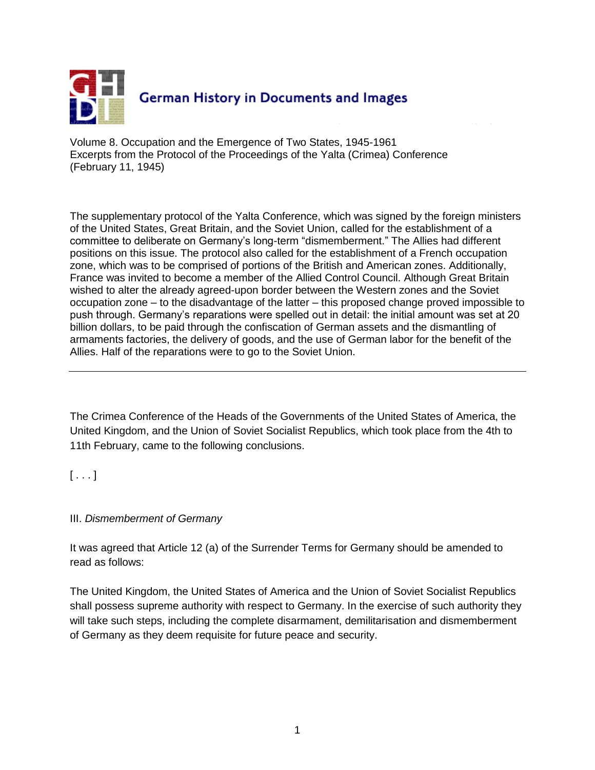

Volume 8. Occupation and the Emergence of Two States, 1945-1961 Excerpts from the Protocol of the Proceedings of the Yalta (Crimea) Conference (February 11, 1945)

The supplementary protocol of the Yalta Conference, which was signed by the foreign ministers of the United States, Great Britain, and the Soviet Union, called for the establishment of a committee to deliberate on Germany's long-term "dismemberment." The Allies had different positions on this issue. The protocol also called for the establishment of a French occupation zone, which was to be comprised of portions of the British and American zones. Additionally, France was invited to become a member of the Allied Control Council. Although Great Britain wished to alter the already agreed-upon border between the Western zones and the Soviet occupation zone – to the disadvantage of the latter – this proposed change proved impossible to push through. Germany's reparations were spelled out in detail: the initial amount was set at 20 billion dollars, to be paid through the confiscation of German assets and the dismantling of armaments factories, the delivery of goods, and the use of German labor for the benefit of the Allies. Half of the reparations were to go to the Soviet Union.

The Crimea Conference of the Heads of the Governments of the United States of America, the United Kingdom, and the Union of Soviet Socialist Republics, which took place from the 4th to 11th February, came to the following conclusions.

 $[...]$ 

## III. *Dismemberment of Germany*

It was agreed that Article 12 (a) of the Surrender Terms for Germany should be amended to read as follows:

The United Kingdom, the United States of America and the Union of Soviet Socialist Republics shall possess supreme authority with respect to Germany. In the exercise of such authority they will take such steps, including the complete disarmament, demilitarisation and dismemberment of Germany as they deem requisite for future peace and security.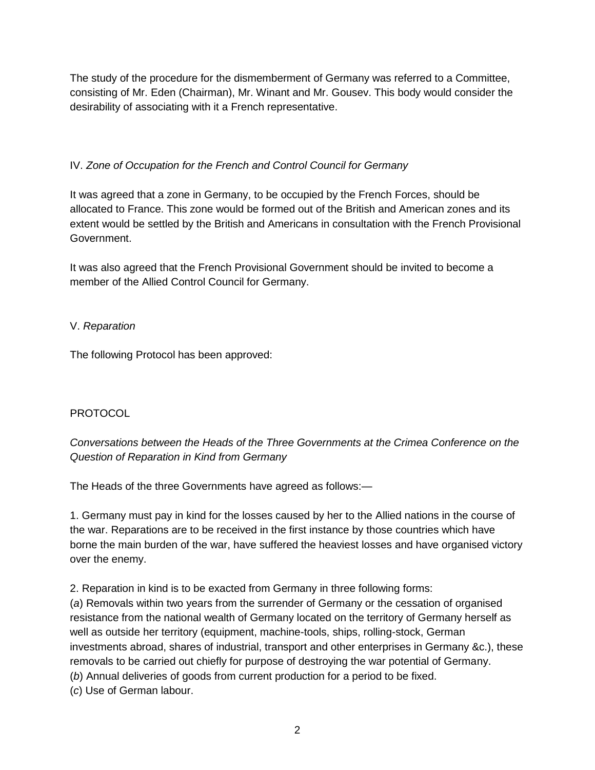The study of the procedure for the dismemberment of Germany was referred to a Committee, consisting of Mr. Eden (Chairman), Mr. Winant and Mr. Gousev. This body would consider the desirability of associating with it a French representative.

## IV. *Zone of Occupation for the French and Control Council for Germany*

It was agreed that a zone in Germany, to be occupied by the French Forces, should be allocated to France. This zone would be formed out of the British and American zones and its extent would be settled by the British and Americans in consultation with the French Provisional Government.

It was also agreed that the French Provisional Government should be invited to become a member of the Allied Control Council for Germany.

# V. *Reparation*

The following Protocol has been approved:

## **PROTOCOL**

*Conversations between the Heads of the Three Governments at the Crimea Conference on the Question of Reparation in Kind from Germany*

The Heads of the three Governments have agreed as follows:—

1. Germany must pay in kind for the losses caused by her to the Allied nations in the course of the war. Reparations are to be received in the first instance by those countries which have borne the main burden of the war, have suffered the heaviest losses and have organised victory over the enemy.

2. Reparation in kind is to be exacted from Germany in three following forms:

(*a*) Removals within two years from the surrender of Germany or the cessation of organised resistance from the national wealth of Germany located on the territory of Germany herself as well as outside her territory (equipment, machine-tools, ships, rolling-stock, German investments abroad, shares of industrial, transport and other enterprises in Germany &c.), these removals to be carried out chiefly for purpose of destroying the war potential of Germany. (*b*) Annual deliveries of goods from current production for a period to be fixed. (*c*) Use of German labour.